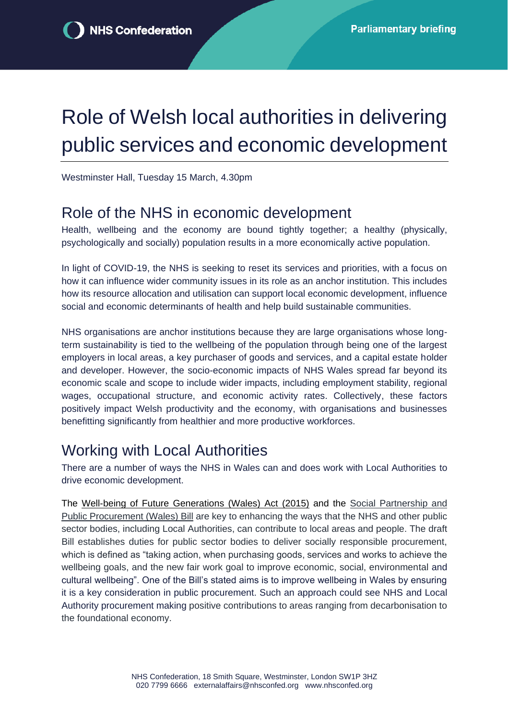# Role of Welsh local authorities in delivering public services and economic development

Westminster Hall, Tuesday 15 March, 4.30pm

#### Role of the NHS in economic development

Health, wellbeing and the economy are bound tightly together; a healthy (physically, psychologically and socially) population results in a more economically active population.

In light of COVID-19, the NHS is seeking to reset its services and priorities, with a focus on how it can influence wider community issues in its role as an anchor institution. This includes how its resource allocation and utilisation can support local economic development, influence social and economic determinants of health and help build sustainable communities.

NHS organisations are anchor institutions because they are large organisations whose longterm sustainability is tied to the wellbeing of the population through being one of the largest employers in local areas, a key purchaser of goods and services, and a capital estate holder and developer. However, the socio-economic impacts of NHS Wales spread far beyond its economic scale and scope to include wider impacts, including employment stability, regional wages, occupational structure, and economic activity rates. Collectively, these factors positively impact Welsh productivity and the economy, with organisations and businesses benefitting significantly from healthier and more productive workforces.

### Working with Local Authorities

There are a number of ways the NHS in Wales can and does work with Local Authorities to drive economic development.

The [Well-being of Future Generations \(Wales\) Act](https://www.nhsconfed.org/publications/overview-wellbeing-future-generations-act-2015) (2015) and the [Social Partnership and](https://gov.wales/draft-social-partnership-and-public-procurement-wales-bill)  [Public Procurement \(Wales\) Bill](https://gov.wales/draft-social-partnership-and-public-procurement-wales-bill) are key to enhancing the ways that the NHS and other public sector bodies, including Local Authorities, can contribute to local areas and people. The draft Bill establishes duties for public sector bodies to deliver socially responsible procurement, which is defined as "taking action, when purchasing goods, services and works to achieve the wellbeing goals, and the new fair work goal to improve economic, social, environmental and cultural wellbeing". One of the Bill's stated aims is to improve wellbeing in Wales by ensuring it is a key consideration in public procurement. Such an approach could see NHS and Local Authority procurement making positive contributions to areas ranging from decarbonisation to the foundational economy.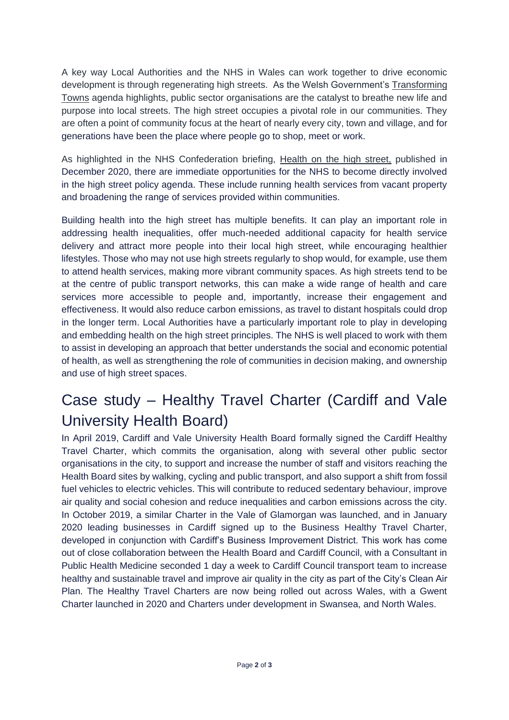A key way Local Authorities and the NHS in Wales can work together to drive economic development is through regenerating high streets. As the Welsh Government's [Transforming](https://gov.wales/support-improve-town-centres)  [Towns](https://gov.wales/support-improve-town-centres) agenda highlights, public sector organisations are the catalyst to breathe new life and purpose into local streets. The high street occupies a pivotal role in our communities. They are often a point of community focus at the heart of nearly every city, town and village, and for generations have been the place where people go to shop, meet or work.

As highlighted in the NHS Confederation briefing, [Health on the high street,](https://www.nhsconfed.org/publications/health-high-street) published in December 2020, there are immediate opportunities for the NHS to become directly involved in the high street policy agenda. These include running health services from vacant property and broadening the range of services provided within communities.

Building health into the high street has multiple benefits. It can play an important role in addressing health inequalities, offer much-needed additional capacity for health service delivery and attract more people into their local high street, while encouraging healthier lifestyles. Those who may not use high streets regularly to shop would, for example, use them to attend health services, making more vibrant community spaces. As high streets tend to be at the centre of public transport networks, this can make a wide range of health and care services more accessible to people and, importantly, increase their engagement and effectiveness. It would also reduce carbon emissions, as travel to distant hospitals could drop in the longer term. Local Authorities have a particularly important role to play in developing and embedding health on the high street principles. The NHS is well placed to work with them to assist in developing an approach that better understands the social and economic potential of health, as well as strengthening the role of communities in decision making, and ownership and use of high street spaces.

# Case study – Healthy Travel Charter (Cardiff and Vale University Health Board)

In April 2019, Cardiff and Vale University Health Board formally signed the Cardiff Healthy Travel Charter, which commits the organisation, along with several other public sector organisations in the city, to support and increase the number of staff and visitors reaching the Health Board sites by walking, cycling and public transport, and also support a shift from fossil fuel vehicles to electric vehicles. This will contribute to reduced sedentary behaviour, improve air quality and social cohesion and reduce inequalities and carbon emissions across the city. In October 2019, a similar Charter in the Vale of Glamorgan was launched, and in January 2020 leading businesses in Cardiff signed up to the Business Healthy Travel Charter, developed in conjunction with Cardiff's Business Improvement District. This work has come out of close collaboration between the Health Board and Cardiff Council, with a Consultant in Public Health Medicine seconded 1 day a week to Cardiff Council transport team to increase healthy and sustainable travel and improve air quality in the city as part of the City's Clean Air Plan. The Healthy Travel Charters are now being rolled out across Wales, with a Gwent Charter launched in 2020 and Charters under development in Swansea, and North Wales.